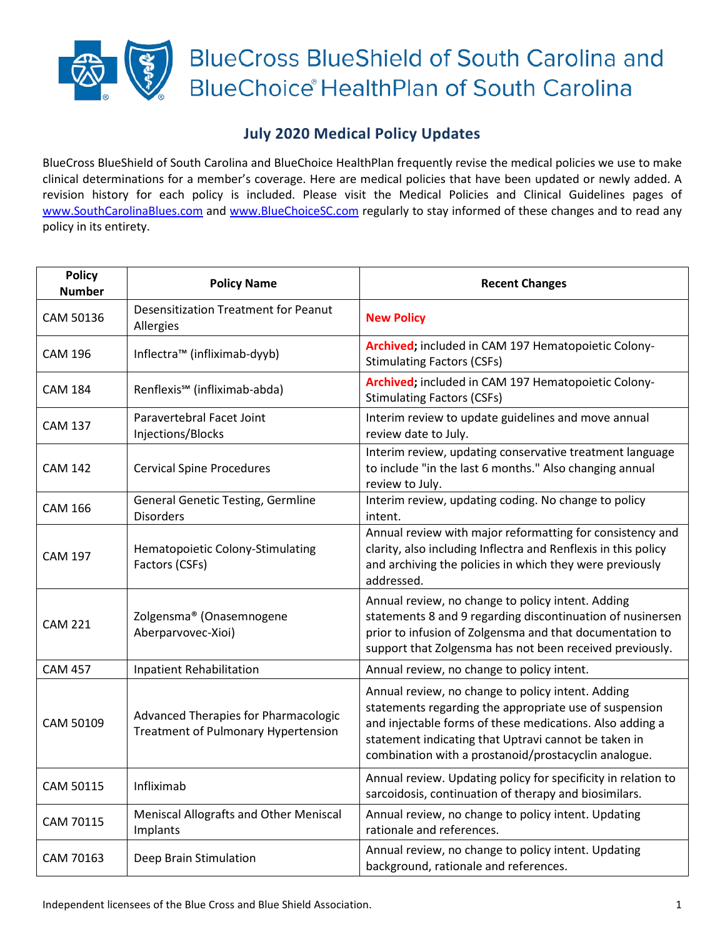## **BlueCross BlueShield of South Carolina and BlueChoice HealthPlan of South Carolina**

## **July 2020 Medical Policy Updates**

BlueCross BlueShield of South Carolina and BlueChoice HealthPlan frequently revise the medical policies we use to make clinical determinations for a member's coverage. Here are medical policies that have been updated or newly added. A revision history for each policy is included. Please visit the Medical Policies and Clinical Guidelines pages of [www.SouthCarolinaBlues.com](http://www.southcarolinablues.com/) and [www.BlueChoiceSC.com](http://www.bluechoicesc.com/) regularly to stay informed of these changes and to read any policy in its entirety.

| <b>Policy</b><br><b>Number</b> | <b>Policy Name</b>                                                                 | <b>Recent Changes</b>                                                                                                                                                                                                                                                                   |
|--------------------------------|------------------------------------------------------------------------------------|-----------------------------------------------------------------------------------------------------------------------------------------------------------------------------------------------------------------------------------------------------------------------------------------|
| CAM 50136                      | <b>Desensitization Treatment for Peanut</b><br>Allergies                           | <b>New Policy</b>                                                                                                                                                                                                                                                                       |
| <b>CAM 196</b>                 | Inflectra™ (infliximab-dyyb)                                                       | Archived; included in CAM 197 Hematopoietic Colony-<br><b>Stimulating Factors (CSFs)</b>                                                                                                                                                                                                |
| <b>CAM 184</b>                 | Renflexis <sup>5M</sup> (infliximab-abda)                                          | Archived; included in CAM 197 Hematopoietic Colony-<br><b>Stimulating Factors (CSFs)</b>                                                                                                                                                                                                |
| <b>CAM 137</b>                 | Paravertebral Facet Joint<br>Injections/Blocks                                     | Interim review to update guidelines and move annual<br>review date to July.                                                                                                                                                                                                             |
| <b>CAM 142</b>                 | <b>Cervical Spine Procedures</b>                                                   | Interim review, updating conservative treatment language<br>to include "in the last 6 months." Also changing annual<br>review to July.                                                                                                                                                  |
| <b>CAM 166</b>                 | <b>General Genetic Testing, Germline</b><br><b>Disorders</b>                       | Interim review, updating coding. No change to policy<br>intent.                                                                                                                                                                                                                         |
| <b>CAM 197</b>                 | Hematopoietic Colony-Stimulating<br>Factors (CSFs)                                 | Annual review with major reformatting for consistency and<br>clarity, also including Inflectra and Renflexis in this policy<br>and archiving the policies in which they were previously<br>addressed.                                                                                   |
| <b>CAM 221</b>                 | Zolgensma® (Onasemnogene<br>Aberparvovec-Xioi)                                     | Annual review, no change to policy intent. Adding<br>statements 8 and 9 regarding discontinuation of nusinersen<br>prior to infusion of Zolgensma and that documentation to<br>support that Zolgensma has not been received previously.                                                 |
| <b>CAM 457</b>                 | <b>Inpatient Rehabilitation</b>                                                    | Annual review, no change to policy intent.                                                                                                                                                                                                                                              |
| CAM 50109                      | Advanced Therapies for Pharmacologic<br><b>Treatment of Pulmonary Hypertension</b> | Annual review, no change to policy intent. Adding<br>statements regarding the appropriate use of suspension<br>and injectable forms of these medications. Also adding a<br>statement indicating that Uptravi cannot be taken in<br>combination with a prostanoid/prostacyclin analogue. |
| CAM 50115                      | Infliximab                                                                         | Annual review. Updating policy for specificity in relation to<br>sarcoidosis, continuation of therapy and biosimilars.                                                                                                                                                                  |
| CAM 70115                      | Meniscal Allografts and Other Meniscal<br>Implants                                 | Annual review, no change to policy intent. Updating<br>rationale and references.                                                                                                                                                                                                        |
| CAM 70163                      | Deep Brain Stimulation                                                             | Annual review, no change to policy intent. Updating<br>background, rationale and references.                                                                                                                                                                                            |

Independent licensees of the Blue Cross and Blue Shield Association. 1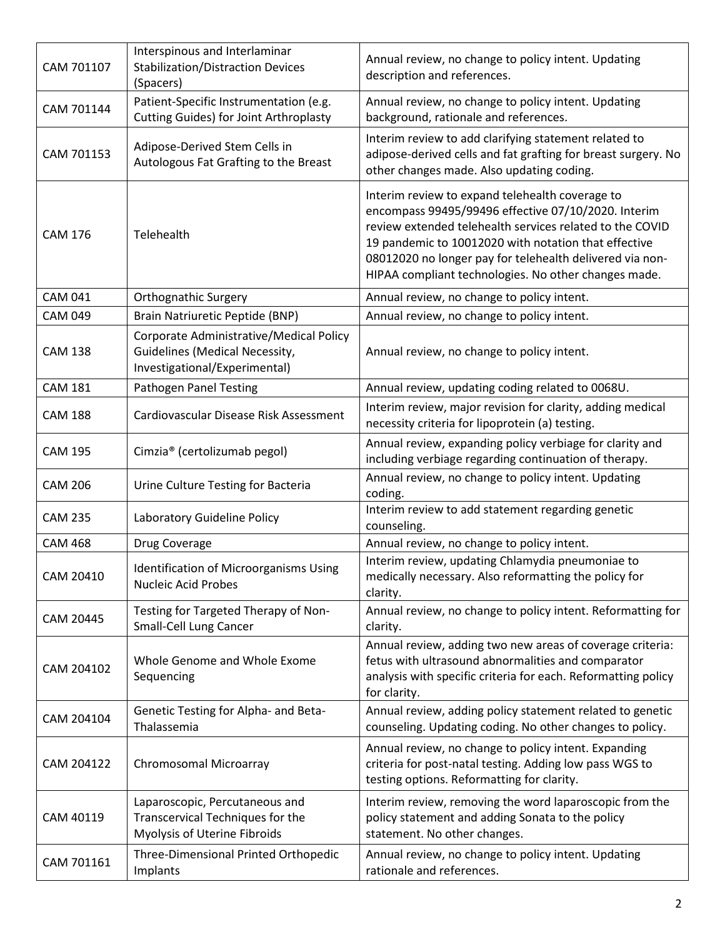| CAM 701107     | Interspinous and Interlaminar<br><b>Stabilization/Distraction Devices</b><br>(Spacers)                            | Annual review, no change to policy intent. Updating<br>description and references.                                                                                                                                                                                                                                                             |
|----------------|-------------------------------------------------------------------------------------------------------------------|------------------------------------------------------------------------------------------------------------------------------------------------------------------------------------------------------------------------------------------------------------------------------------------------------------------------------------------------|
| CAM 701144     | Patient-Specific Instrumentation (e.g.<br>Cutting Guides) for Joint Arthroplasty                                  | Annual review, no change to policy intent. Updating<br>background, rationale and references.                                                                                                                                                                                                                                                   |
| CAM 701153     | Adipose-Derived Stem Cells in<br>Autologous Fat Grafting to the Breast                                            | Interim review to add clarifying statement related to<br>adipose-derived cells and fat grafting for breast surgery. No<br>other changes made. Also updating coding.                                                                                                                                                                            |
| <b>CAM 176</b> | Telehealth                                                                                                        | Interim review to expand telehealth coverage to<br>encompass 99495/99496 effective 07/10/2020. Interim<br>review extended telehealth services related to the COVID<br>19 pandemic to 10012020 with notation that effective<br>08012020 no longer pay for telehealth delivered via non-<br>HIPAA compliant technologies. No other changes made. |
| <b>CAM 041</b> | Orthognathic Surgery                                                                                              | Annual review, no change to policy intent.                                                                                                                                                                                                                                                                                                     |
| <b>CAM 049</b> | Brain Natriuretic Peptide (BNP)                                                                                   | Annual review, no change to policy intent.                                                                                                                                                                                                                                                                                                     |
| <b>CAM 138</b> | Corporate Administrative/Medical Policy<br><b>Guidelines (Medical Necessity,</b><br>Investigational/Experimental) | Annual review, no change to policy intent.                                                                                                                                                                                                                                                                                                     |
| <b>CAM 181</b> | Pathogen Panel Testing                                                                                            | Annual review, updating coding related to 0068U.                                                                                                                                                                                                                                                                                               |
| <b>CAM 188</b> | Cardiovascular Disease Risk Assessment                                                                            | Interim review, major revision for clarity, adding medical<br>necessity criteria for lipoprotein (a) testing.                                                                                                                                                                                                                                  |
| <b>CAM 195</b> | Cimzia® (certolizumab pegol)                                                                                      | Annual review, expanding policy verbiage for clarity and<br>including verbiage regarding continuation of therapy.                                                                                                                                                                                                                              |
| <b>CAM 206</b> | Urine Culture Testing for Bacteria                                                                                | Annual review, no change to policy intent. Updating<br>coding.                                                                                                                                                                                                                                                                                 |
| <b>CAM 235</b> | Laboratory Guideline Policy                                                                                       | Interim review to add statement regarding genetic<br>counseling.                                                                                                                                                                                                                                                                               |
| <b>CAM 468</b> | Drug Coverage                                                                                                     | Annual review, no change to policy intent.                                                                                                                                                                                                                                                                                                     |
| CAM 20410      | <b>Identification of Microorganisms Using</b><br><b>Nucleic Acid Probes</b>                                       | Interim review, updating Chlamydia pneumoniae to<br>medically necessary. Also reformatting the policy for<br>clarity.                                                                                                                                                                                                                          |
| CAM 20445      | Testing for Targeted Therapy of Non-<br><b>Small-Cell Lung Cancer</b>                                             | Annual review, no change to policy intent. Reformatting for<br>clarity.                                                                                                                                                                                                                                                                        |
| CAM 204102     | Whole Genome and Whole Exome<br>Sequencing                                                                        | Annual review, adding two new areas of coverage criteria:<br>fetus with ultrasound abnormalities and comparator<br>analysis with specific criteria for each. Reformatting policy<br>for clarity.                                                                                                                                               |
| CAM 204104     | Genetic Testing for Alpha- and Beta-<br>Thalassemia                                                               | Annual review, adding policy statement related to genetic<br>counseling. Updating coding. No other changes to policy.                                                                                                                                                                                                                          |
| CAM 204122     | Chromosomal Microarray                                                                                            | Annual review, no change to policy intent. Expanding<br>criteria for post-natal testing. Adding low pass WGS to<br>testing options. Reformatting for clarity.                                                                                                                                                                                  |
| CAM 40119      | Laparoscopic, Percutaneous and<br>Transcervical Techniques for the<br>Myolysis of Uterine Fibroids                | Interim review, removing the word laparoscopic from the<br>policy statement and adding Sonata to the policy<br>statement. No other changes.                                                                                                                                                                                                    |
| CAM 701161     | Three-Dimensional Printed Orthopedic<br>Implants                                                                  | Annual review, no change to policy intent. Updating<br>rationale and references.                                                                                                                                                                                                                                                               |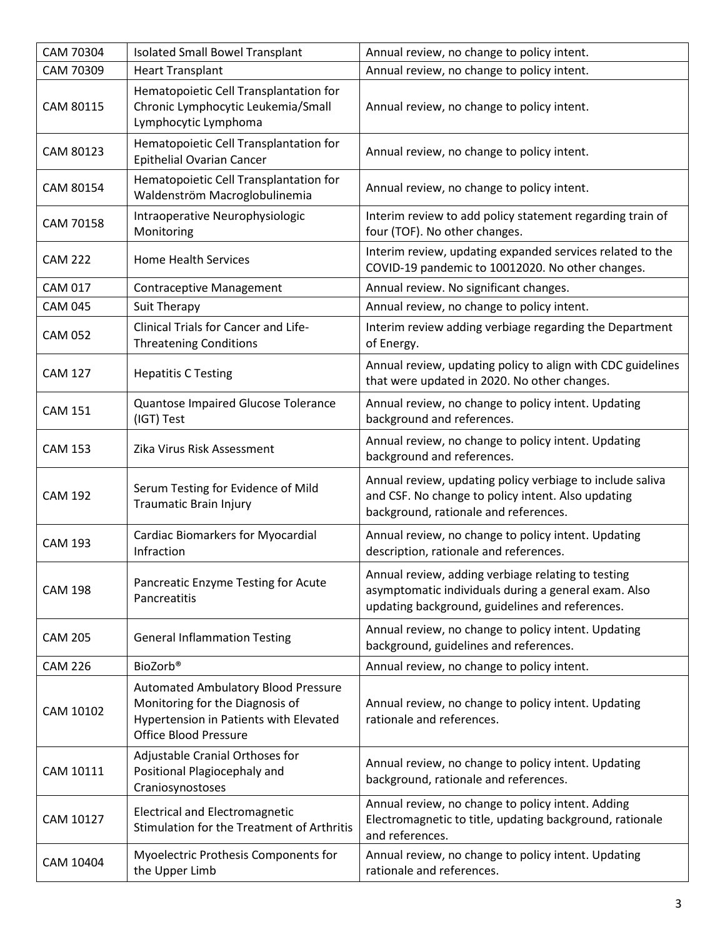| CAM 70304      | <b>Isolated Small Bowel Transplant</b>                                                                                                                  | Annual review, no change to policy intent.                                                                                                                    |
|----------------|---------------------------------------------------------------------------------------------------------------------------------------------------------|---------------------------------------------------------------------------------------------------------------------------------------------------------------|
| CAM 70309      | <b>Heart Transplant</b>                                                                                                                                 | Annual review, no change to policy intent.                                                                                                                    |
| CAM 80115      | Hematopoietic Cell Transplantation for<br>Chronic Lymphocytic Leukemia/Small<br>Lymphocytic Lymphoma                                                    | Annual review, no change to policy intent.                                                                                                                    |
| CAM 80123      | Hematopoietic Cell Transplantation for<br><b>Epithelial Ovarian Cancer</b>                                                                              | Annual review, no change to policy intent.                                                                                                                    |
| CAM 80154      | Hematopoietic Cell Transplantation for<br>Waldenström Macroglobulinemia                                                                                 | Annual review, no change to policy intent.                                                                                                                    |
| CAM 70158      | Intraoperative Neurophysiologic<br>Monitoring                                                                                                           | Interim review to add policy statement regarding train of<br>four (TOF). No other changes.                                                                    |
| <b>CAM 222</b> | <b>Home Health Services</b>                                                                                                                             | Interim review, updating expanded services related to the<br>COVID-19 pandemic to 10012020. No other changes.                                                 |
| <b>CAM 017</b> | <b>Contraceptive Management</b>                                                                                                                         | Annual review. No significant changes.                                                                                                                        |
| <b>CAM 045</b> | Suit Therapy                                                                                                                                            | Annual review, no change to policy intent.                                                                                                                    |
| <b>CAM 052</b> | Clinical Trials for Cancer and Life-<br><b>Threatening Conditions</b>                                                                                   | Interim review adding verbiage regarding the Department<br>of Energy.                                                                                         |
| <b>CAM 127</b> | <b>Hepatitis C Testing</b>                                                                                                                              | Annual review, updating policy to align with CDC guidelines<br>that were updated in 2020. No other changes.                                                   |
| <b>CAM 151</b> | Quantose Impaired Glucose Tolerance<br>(IGT) Test                                                                                                       | Annual review, no change to policy intent. Updating<br>background and references.                                                                             |
| <b>CAM 153</b> | Zika Virus Risk Assessment                                                                                                                              | Annual review, no change to policy intent. Updating<br>background and references.                                                                             |
| <b>CAM 192</b> | Serum Testing for Evidence of Mild<br><b>Traumatic Brain Injury</b>                                                                                     | Annual review, updating policy verbiage to include saliva<br>and CSF. No change to policy intent. Also updating<br>background, rationale and references.      |
| <b>CAM 193</b> | <b>Cardiac Biomarkers for Myocardial</b><br>Infraction                                                                                                  | Annual review, no change to policy intent. Updating<br>description, rationale and references.                                                                 |
| <b>CAM 198</b> | Pancreatic Enzyme Testing for Acute<br>Pancreatitis                                                                                                     | Annual review, adding verbiage relating to testing<br>asymptomatic individuals during a general exam. Also<br>updating background, guidelines and references. |
| <b>CAM 205</b> | <b>General Inflammation Testing</b>                                                                                                                     | Annual review, no change to policy intent. Updating<br>background, guidelines and references.                                                                 |
| <b>CAM 226</b> | BioZorb®                                                                                                                                                | Annual review, no change to policy intent.                                                                                                                    |
| CAM 10102      | <b>Automated Ambulatory Blood Pressure</b><br>Monitoring for the Diagnosis of<br>Hypertension in Patients with Elevated<br><b>Office Blood Pressure</b> | Annual review, no change to policy intent. Updating<br>rationale and references.                                                                              |
| CAM 10111      | Adjustable Cranial Orthoses for<br>Positional Plagiocephaly and<br>Craniosynostoses                                                                     | Annual review, no change to policy intent. Updating<br>background, rationale and references.                                                                  |
| CAM 10127      | <b>Electrical and Electromagnetic</b><br>Stimulation for the Treatment of Arthritis                                                                     | Annual review, no change to policy intent. Adding<br>Electromagnetic to title, updating background, rationale<br>and references.                              |
| CAM 10404      | Myoelectric Prothesis Components for<br>the Upper Limb                                                                                                  | Annual review, no change to policy intent. Updating<br>rationale and references.                                                                              |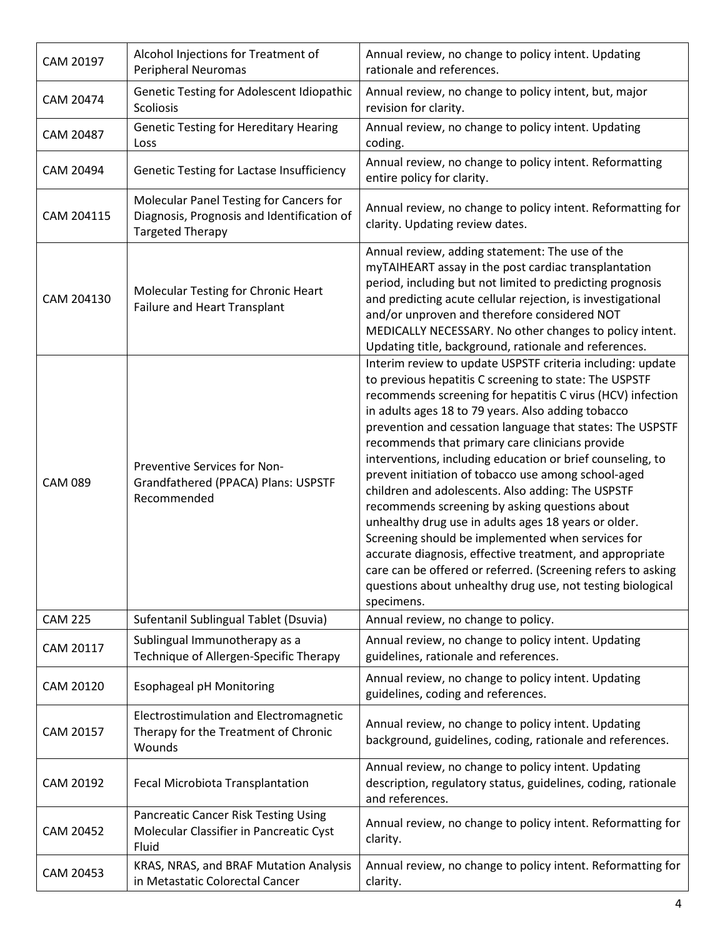| CAM 20197      | Alcohol Injections for Treatment of<br>Peripheral Neuromas                                                       | Annual review, no change to policy intent. Updating<br>rationale and references.                                                                                                                                                                                                                                                                                                                                                                                                                                                                                                                                                                                                                                                                                                                                                                                                                          |
|----------------|------------------------------------------------------------------------------------------------------------------|-----------------------------------------------------------------------------------------------------------------------------------------------------------------------------------------------------------------------------------------------------------------------------------------------------------------------------------------------------------------------------------------------------------------------------------------------------------------------------------------------------------------------------------------------------------------------------------------------------------------------------------------------------------------------------------------------------------------------------------------------------------------------------------------------------------------------------------------------------------------------------------------------------------|
| CAM 20474      | Genetic Testing for Adolescent Idiopathic<br>Scoliosis                                                           | Annual review, no change to policy intent, but, major<br>revision for clarity.                                                                                                                                                                                                                                                                                                                                                                                                                                                                                                                                                                                                                                                                                                                                                                                                                            |
| CAM 20487      | <b>Genetic Testing for Hereditary Hearing</b><br>Loss                                                            | Annual review, no change to policy intent. Updating<br>coding.                                                                                                                                                                                                                                                                                                                                                                                                                                                                                                                                                                                                                                                                                                                                                                                                                                            |
| CAM 20494      | <b>Genetic Testing for Lactase Insufficiency</b>                                                                 | Annual review, no change to policy intent. Reformatting<br>entire policy for clarity.                                                                                                                                                                                                                                                                                                                                                                                                                                                                                                                                                                                                                                                                                                                                                                                                                     |
| CAM 204115     | Molecular Panel Testing for Cancers for<br>Diagnosis, Prognosis and Identification of<br><b>Targeted Therapy</b> | Annual review, no change to policy intent. Reformatting for<br>clarity. Updating review dates.                                                                                                                                                                                                                                                                                                                                                                                                                                                                                                                                                                                                                                                                                                                                                                                                            |
| CAM 204130     | Molecular Testing for Chronic Heart<br>Failure and Heart Transplant                                              | Annual review, adding statement: The use of the<br>myTAIHEART assay in the post cardiac transplantation<br>period, including but not limited to predicting prognosis<br>and predicting acute cellular rejection, is investigational<br>and/or unproven and therefore considered NOT<br>MEDICALLY NECESSARY. No other changes to policy intent.<br>Updating title, background, rationale and references.                                                                                                                                                                                                                                                                                                                                                                                                                                                                                                   |
| <b>CAM 089</b> | Preventive Services for Non-<br>Grandfathered (PPACA) Plans: USPSTF<br>Recommended                               | Interim review to update USPSTF criteria including: update<br>to previous hepatitis C screening to state: The USPSTF<br>recommends screening for hepatitis C virus (HCV) infection<br>in adults ages 18 to 79 years. Also adding tobacco<br>prevention and cessation language that states: The USPSTF<br>recommends that primary care clinicians provide<br>interventions, including education or brief counseling, to<br>prevent initiation of tobacco use among school-aged<br>children and adolescents. Also adding: The USPSTF<br>recommends screening by asking questions about<br>unhealthy drug use in adults ages 18 years or older.<br>Screening should be implemented when services for<br>accurate diagnosis, effective treatment, and appropriate<br>care can be offered or referred. (Screening refers to asking<br>questions about unhealthy drug use, not testing biological<br>specimens. |
| <b>CAM 225</b> | Sufentanil Sublingual Tablet (Dsuvia)                                                                            | Annual review, no change to policy.                                                                                                                                                                                                                                                                                                                                                                                                                                                                                                                                                                                                                                                                                                                                                                                                                                                                       |
| CAM 20117      | Sublingual Immunotherapy as a<br>Technique of Allergen-Specific Therapy                                          | Annual review, no change to policy intent. Updating<br>guidelines, rationale and references.                                                                                                                                                                                                                                                                                                                                                                                                                                                                                                                                                                                                                                                                                                                                                                                                              |
| CAM 20120      | <b>Esophageal pH Monitoring</b>                                                                                  | Annual review, no change to policy intent. Updating<br>guidelines, coding and references.                                                                                                                                                                                                                                                                                                                                                                                                                                                                                                                                                                                                                                                                                                                                                                                                                 |
| CAM 20157      | Electrostimulation and Electromagnetic<br>Therapy for the Treatment of Chronic<br>Wounds                         | Annual review, no change to policy intent. Updating<br>background, guidelines, coding, rationale and references.                                                                                                                                                                                                                                                                                                                                                                                                                                                                                                                                                                                                                                                                                                                                                                                          |
| CAM 20192      | Fecal Microbiota Transplantation                                                                                 | Annual review, no change to policy intent. Updating<br>description, regulatory status, guidelines, coding, rationale<br>and references.                                                                                                                                                                                                                                                                                                                                                                                                                                                                                                                                                                                                                                                                                                                                                                   |
| CAM 20452      | Pancreatic Cancer Risk Testing Using<br>Molecular Classifier in Pancreatic Cyst<br>Fluid                         | Annual review, no change to policy intent. Reformatting for<br>clarity.                                                                                                                                                                                                                                                                                                                                                                                                                                                                                                                                                                                                                                                                                                                                                                                                                                   |
| CAM 20453      | KRAS, NRAS, and BRAF Mutation Analysis<br>in Metastatic Colorectal Cancer                                        | Annual review, no change to policy intent. Reformatting for<br>clarity.                                                                                                                                                                                                                                                                                                                                                                                                                                                                                                                                                                                                                                                                                                                                                                                                                                   |